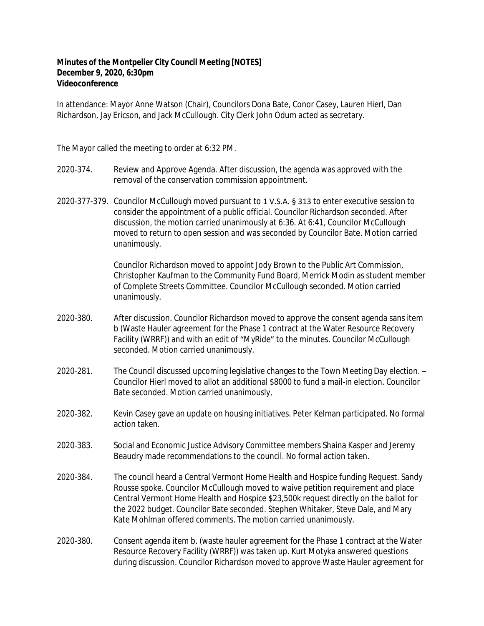## **Minutes of the Montpelier City Council Meeting [NOTES] December 9, 2020, 6:30pm Videoconference**

In attendance: Mayor Anne Watson (Chair), Councilors Dona Bate, Conor Casey, Lauren Hierl, Dan Richardson, Jay Ericson, and Jack McCullough. City Clerk John Odum acted as secretary.

The Mayor called the meeting to order at 6:32 PM.

- 2020‐374. Review and Approve Agenda. After discussion, the agenda was approved with the removal of the conservation commission appointment.
- 2020‐377-379. Councilor McCullough moved pursuant to 1 V.S.A. § 313 to enter executive session to consider the appointment of a public official. Councilor Richardson seconded. After discussion, the motion carried unanimously at 6:36. At 6:41, Councilor McCullough moved to return to open session and was seconded by Councilor Bate. Motion carried unanimously.

Councilor Richardson moved to appoint Jody Brown to the Public Art Commission, Christopher Kaufman to the Community Fund Board, Merrick Modin as student member of Complete Streets Committee. Councilor McCullough seconded. Motion carried unanimously.

- 2020‐380. After discussion. Councilor Richardson moved to approve the consent agenda sans item b (Waste Hauler agreement for the Phase 1 contract at the Water Resource Recovery Facility (WRRF)) and with an edit of "MyRide" to the minutes. Councilor McCullough seconded. Motion carried unanimously.
- 2020‐281. The Council discussed upcoming legislative changes to the Town Meeting Day election. Councilor Hierl moved to allot an additional \$8000 to fund a mail-in election. Councilor Bate seconded. Motion carried unanimously,
- 2020‐382. Kevin Casey gave an update on housing initiatives. Peter Kelman participated. No formal action taken.
- 2020‐383. Social and Economic Justice Advisory Committee members Shaina Kasper and Jeremy Beaudry made recommendations to the council. No formal action taken.
- 2020‐384. The council heard a Central Vermont Home Health and Hospice funding Request. Sandy Rousse spoke. Councilor McCullough moved to waive petition requirement and place Central Vermont Home Health and Hospice \$23,500k request directly on the ballot for the 2022 budget. Councilor Bate seconded. Stephen Whitaker, Steve Dale, and Mary Kate Mohlman offered comments. The motion carried unanimously.
- 2020‐380. Consent agenda item b. (waste hauler agreement for the Phase 1 contract at the Water Resource Recovery Facility (WRRF)) was taken up. Kurt Motyka answered questions during discussion. Councilor Richardson moved to approve Waste Hauler agreement for